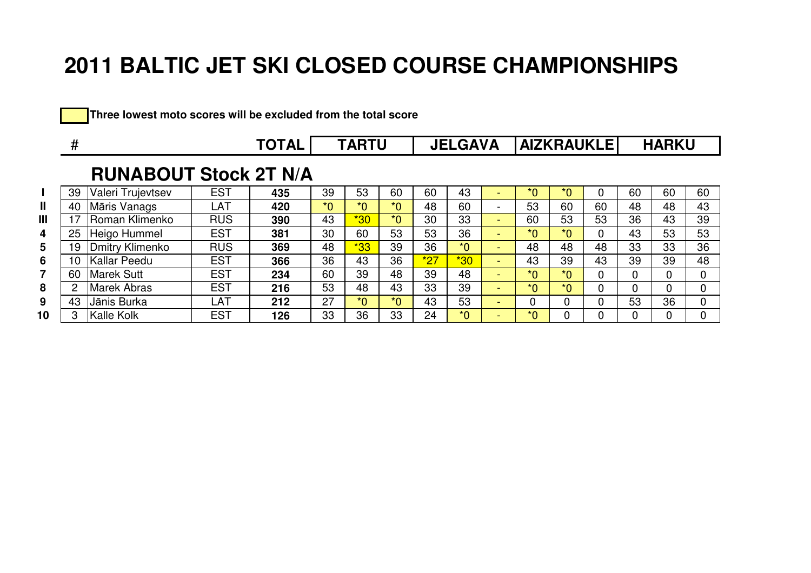|  | Three lowest moto scores will be excluded from the total score |
|--|----------------------------------------------------------------|
|--|----------------------------------------------------------------|

|              | #  | TOTAL                        |            |     |         | <b>TARTU</b> |         | <b>JELGAVA</b> |         |                          | <b>AIZKRAUKLEI</b> |         |    |    | <b>HARKU</b> |             |  |
|--------------|----|------------------------------|------------|-----|---------|--------------|---------|----------------|---------|--------------------------|--------------------|---------|----|----|--------------|-------------|--|
|              |    | <b>RUNABOUT Stock 2T N/A</b> |            |     |         |              |         |                |         |                          |                    |         |    |    |              |             |  |
|              | 39 | Valeri Trujevtsev            | <b>EST</b> | 435 | 39      | 53           | 60      | 60             | 43      | $\overline{\phantom{0}}$ | $*_{0}$            | $*0$    |    | 60 | 60           | 60          |  |
| $\mathbf{I}$ | 40 | Māris Vanags                 | LAT        | 420 | $*_{0}$ | $*_{0}$      | $*_{0}$ | 48             | 60      | $\overline{\phantom{a}}$ | 53                 | 60      | 60 | 48 | 48           | 43          |  |
| III          | 17 | Roman Klimenko               | <b>RUS</b> | 390 | 43      | $*30$        | $*_{0}$ | 30             | 33      | $\sim$                   | 60                 | 53      | 53 | 36 | 43           | 39          |  |
| 4            | 25 | Heigo Hummel                 | <b>EST</b> | 381 | 30      | 60           | 53      | 53             | 36      | $\sim$                   | $*_{0}$            | $*_{0}$ | 0  | 43 | 53           | 53          |  |
| 5            | 19 | Dmitry Klimenko              | <b>RUS</b> | 369 | 48      | $*33$        | 39      | 36             | $*_{0}$ | $\sim$                   | 48                 | 48      | 48 | 33 | 33           | 36          |  |
| 6            | 10 | Kallar Peedu                 | <b>EST</b> | 366 | 36      | 43           | 36      | $*27$          | $*30$   | $\sim$                   | 43                 | 39      | 43 | 39 | 39           | 48          |  |
| 7            | 60 | <b>Marek Sutt</b>            | <b>EST</b> | 234 | 60      | 39           | 48      | 39             | 48      | $\sim$                   | $*_{0}$            | $*0$    | 0  | 0  | 0            | 0           |  |
| 8            | 2  | <b>Marek Abras</b>           | <b>EST</b> | 216 | 53      | 48           | 43      | 33             | 39      | and the                  | $*_{0}$            | $*_{0}$ | 0  | 0  | 0            | $\mathbf 0$ |  |
| 9            | 43 | Jānis Burka                  | LAT        | 212 | 27      | $*_{0}$      | $*_{0}$ | 43             | 53      | $\sim$                   | 0                  |         | 0  | 53 | 36           | $\Omega$    |  |
| 10           | 3  | Kalle Kolk                   | <b>EST</b> | 126 | 33      | 36           | 33      | 24             | $*_{0}$ | $\sim$                   | $*0$               |         | 0  | 0  |              |             |  |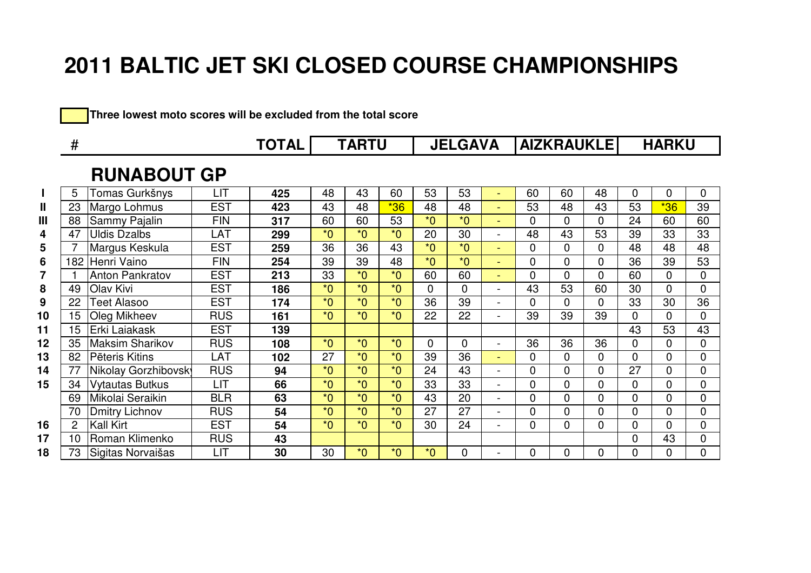**Three lowest moto scores will be excluded from the total score**

|              | #   |                        |            | <b>TOTAL</b><br><b>TARTU</b> |                  |         |         |                | <b>JELGAVA</b> |                |    |    | <b>AIZKRAUKLE</b> | <b>HARKU</b> |              |                |
|--------------|-----|------------------------|------------|------------------------------|------------------|---------|---------|----------------|----------------|----------------|----|----|-------------------|--------------|--------------|----------------|
|              |     | <b>RUNABOUT GP</b>     |            |                              |                  |         |         |                |                |                |    |    |                   |              |              |                |
| $\mathbf{I}$ |     | Tomas Gurkšnys         | LIT        | 425                          | 48               | 43      | 60      | 53             | 53             | ۰              | 60 | 60 | 48                | 0            | 0            | 0              |
| $\mathbf{I}$ | 23  | Margo Lohmus           | <b>EST</b> | 423                          | 43               | 48      | $*36$   | 48             | 48             | ۰              | 53 | 48 | 43                | 53           | $*36$        | 39             |
| III          | 88  | Sammy Pajalin          | <b>FIN</b> | 317                          | 60               | 60      | 53      | $*_{0}$        | $*0$           | ۰              | 0  | 0  | 0                 | 24           | 60           | 60             |
| 4            | 47  | <b>Uldis Dzalbs</b>    | LAT        | 299                          | $*_{0}$          | $*_{0}$ | $*_{0}$ | 20             | 30             | -              | 48 | 43 | 53                | 39           | 33           | 33             |
| 5            |     | Margus Keskula         | <b>EST</b> | 259                          | 36               | 36      | 43      | $*_{0}$        | $*_{0}$        | $\sim$         | 0  | 0  | $\Omega$          | 48           | 48           | 48             |
| 6            | 182 | Henri Vaino            | <b>FIN</b> | 254                          | 39               | 39      | 48      | $*0$           | $*0$           | ÷              | 0  | 0  | 0                 | 36           | 39           | 53             |
| 7            |     | <b>Anton Pankratov</b> | <b>EST</b> | 213                          | 33               | $*_{0}$ | $*_{0}$ | 60             | 60             | $\sim$         | 0  | 0  | 0                 | 60           | 0            | $\overline{0}$ |
| 8            | 49  | Olav Kivi              | <b>EST</b> | 186                          | $*_{0}$          | $*0$    | $*_{0}$ | $\overline{0}$ | $\mathbf 0$    | ÷,             | 43 | 53 | 60                | 30           | 0            | $\mathbf 0$    |
| 9            | 22  | Teet Alasoo            | <b>EST</b> | 174                          | $*$ <sup>0</sup> | $*_{0}$ | $*_{0}$ | 36             | 39             | ٠              | 0  | 0  | $\Omega$          | 33           | 30           | 36             |
| 10           | 15  | Oleg Mikheev           | <b>RUS</b> | 161                          | $*$ <sup>0</sup> | $*0$    | $*_{0}$ | 22             | 22             | $\overline{a}$ | 39 | 39 | 39                | 0            | $\Omega$     | $\mathbf 0$    |
| 11           | 15  | Erki Laiakask          | <b>EST</b> | 139                          |                  |         |         |                |                |                |    |    |                   | 43           | 53           | 43             |
| 12           | 35  | <b>Maksim Sharikov</b> | <b>RUS</b> | 108                          | $*_{0}$          | $*0$    | $*_{0}$ | $\overline{0}$ | $\mathbf 0$    | $\blacksquare$ | 36 | 36 | 36                | 0            | 0            | $\mathbf 0$    |
| 13           | 82  | Pēteris Kitins         | LAT        | 102                          | 27               | $*0$    | $*_{0}$ | 39             | 36             | ÷              | 0  | 0  | 0                 | 0            | 0            | $\mathbf 0$    |
| 14           | 77  | Nikolay Gorzhibovsk    | <b>RUS</b> | 94                           | $*0$             | $*0$    | $*_{0}$ | 24             | 43             | ÷.             | 0  | 0  | 0                 | 27           | $\Omega$     | $\overline{0}$ |
| 15           | 34  | <b>Vytautas Butkus</b> | LIT        | 66                           | $*_{0}$          | $*_{0}$ | $*_{0}$ | 33             | 33             | Ξ.             | 0  | 0  | 0                 | 0            | 0            | $\overline{0}$ |
|              | 69  | Mikolai Seraikin       | <b>BLR</b> | 63                           | $*_{0}$          | $*0$    | $*_{0}$ | 43             | 20             | ÷,             | 0  | 0  | 0                 | 0            | $\Omega$     | $\mathbf 0$    |
|              | 70  | <b>Dmitry Lichnov</b>  | <b>RUS</b> | 54                           | $*$ <sup>0</sup> | $*0$    | $*_{0}$ | 27             | 27             | ÷,             | 0  | 0  | $\overline{0}$    | 0            | $\mathbf{0}$ | $\overline{0}$ |
| 16           | 2   | Kall Kirt              | <b>EST</b> | 54                           | $*0$             | $*0$    | $*0$    | 30             | 24             | ۰              | 0  | 0  | $\overline{0}$    | 0            | 0            | $\mathbf 0$    |
| 17           | 10  | Roman Klimenko         | <b>RUS</b> | 43                           |                  |         |         |                |                |                |    |    |                   | 0            | 43           | $\mathbf 0$    |
| 18           | 73  | Sigitas Norvaišas      | LIT        | 30                           | 30               | $*0$    | $*_{0}$ | $*_{0}$        | $\overline{0}$ |                | 0  | 0  | 0                 | 0            | 0            | $\overline{0}$ |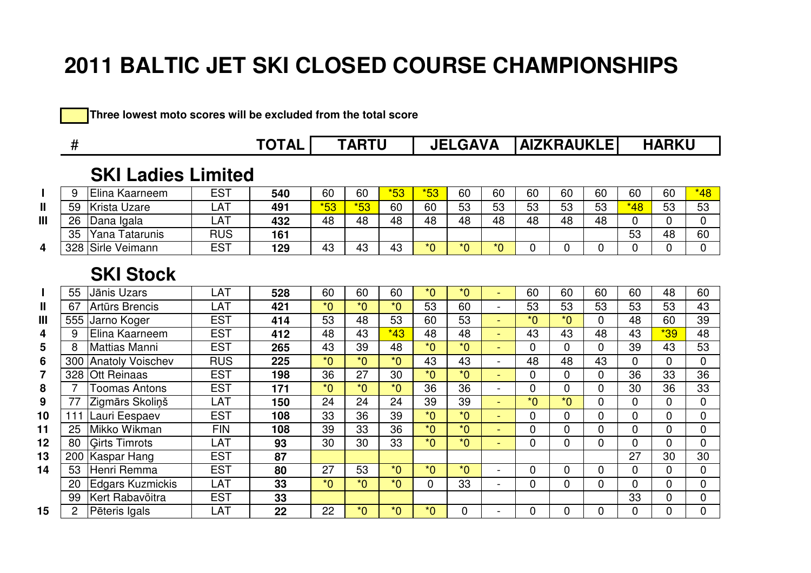#### Three lowest moto scores will be excluded from the total score

|                | #   |                           |            | <b>TOTAL</b> |       | <b>TARTU</b>    |                  | <b>JELGAVA</b>   |                  |                                 | <b>AIZKRAUKLE</b> |                  |                | <b>HARKU</b> |                |                |
|----------------|-----|---------------------------|------------|--------------|-------|-----------------|------------------|------------------|------------------|---------------------------------|-------------------|------------------|----------------|--------------|----------------|----------------|
|                |     | <b>SKI Ladies Limited</b> |            |              |       |                 |                  |                  |                  |                                 |                   |                  |                |              |                |                |
|                | 9   | Elina Kaarneem            | <b>EST</b> | 540          | 60    | 60              | $*53$            | $*53$            | 60               | 60                              | 60                | 60               | 60             | 60           | 60             | $*48$          |
| $\mathbf{I}$   | 59  | <b>Krista Uzare</b>       | LAT        | 491          | $*53$ | $*53$           | 60               | 60               | 53               | 53                              | 53                | 53               | 53             | $*48$        | 53             | 53             |
| $\mathbf{III}$ | 26  | Dana Igala                | LAT        | 432          | 48    | 48              | 48               | 48               | 48               | 48                              | 48                | 48               | 48             | 0            | $\mathbf{0}$   | $\overline{0}$ |
|                | 35  | Yana Tatarunis            | <b>RUS</b> | 161          |       |                 |                  |                  |                  |                                 |                   |                  |                | 53           | 48             | 60             |
| 4              | 328 | Sirle Veimann             | <b>EST</b> | 129          | 43    | 43              | 43               | $\overline{0^*}$ | $\overline{0^*}$ | $\overline{\ }$ $\overline{\ }$ | 0                 | $\overline{0}$   | 0              | 0            | 0              | $\mathbf 0$    |
|                |     | <b>SKI Stock</b>          |            |              |       |                 |                  |                  |                  |                                 |                   |                  |                |              |                |                |
|                | 55  | Jānis Uzars               | LAT        | 528          | 60    | 60              | 60               | $*_{0}$          | $*_{0}$          |                                 | 60                | 60               | 60             | 60           | 48             | 60             |
| $\mathbf{I}$   | 67  | <b>Artūrs Brencis</b>     | LAT        | 421          | $*0$  | $*_{0}$         | $*_{0}$          | 53               | 60               | $\overline{\phantom{a}}$        | 53                | 53               | 53             | 53           | 53             | 43             |
| $\mathbf{III}$ | 555 | Jarno Koger               | <b>EST</b> | 414          | 53    | 48              | 53               | 60               | 53               |                                 | $*_{0}$           | $*0$             | $\overline{0}$ | 48           | 60             | 39             |
| 4              | 9   | Elina Kaarneem            | <b>EST</b> | 412          | 48    | 43              | $*43$            | 48               | 48               | ÷                               | 43                | 43               | 48             | 43           | $*39$          | 48             |
| 5              | 8   | <b>Mattias Manni</b>      | <b>EST</b> | 265          | 43    | 39              | 48               | $*0$             | $*_{0}$          | ÷.                              | 0                 | $\mathbf 0$      | $\mathbf 0$    | 39           | 43             | 53             |
| 6              | 300 | <b>Anatoly Voischev</b>   | <b>RUS</b> | 225          | $*0$  | $*0$            | $*0$             | 43               | 43               |                                 | 48                | 48               | 43             | $\mathbf{0}$ | $\Omega$       | $\mathbf 0$    |
| 7              | 328 | <b>Ott Reinaas</b>        | <b>EST</b> | 198          | 36    | 27              | 30               | $*0$             | $*_{0}$          | ÷                               | $\mathbf{0}$      | $\Omega$         | $\Omega$       | 36           | 33             | 36             |
| 8              | 7   | <b>Toomas Antons</b>      | <b>EST</b> | 171          | $*0$  | $*_{0}$         | $*0$             | 36               | 36               | $\overline{\phantom{a}}$        | 0                 | $\mathbf 0$      | 0              | 30           | 36             | 33             |
| 9              | 77  | Zigmārs Skoliņš           | LAT        | 150          | 24    | $\overline{24}$ | 24               | 39               | 39               |                                 | $\overline{0}^*$  | $\overline{0}^*$ | $\overline{0}$ | 0            | $\mathbf{0}$   | $\mathbf 0$    |
| 10             | 111 | Lauri Eespaev             | <b>EST</b> | 108          | 33    | 36              | 39               | $*0$             | $*_{0}$          | u,                              | $\Omega$          | $\Omega$         | $\Omega$       | $\Omega$     | $\Omega$       | $\overline{0}$ |
| 11             | 25  | Mikko Wikman              | <b>FIN</b> | 108          | 39    | 33              | 36               | $*0$             | $*0$             | ÷                               | 0                 | $\overline{0}$   | 0              | 0            | $\Omega$       | $\mathbf 0$    |
| 12             | 80  | <b>Girts Timrots</b>      | LAT        | 93           | 30    | 30              | 33               | $*0$             | $\overline{0^*}$ |                                 | $\overline{0}$    | $\overline{0}$   | 0              | 0            | $\mathbf{0}$   | $\mathbf 0$    |
| 13             | 200 | Kaspar Hang               | <b>EST</b> | 87           |       |                 |                  |                  |                  |                                 |                   |                  |                | 27           | 30             | 30             |
| 14             | 53  | Henri Remma               | <b>EST</b> | 80           | 27    | 53              | $*$ <sup>0</sup> | $*0$             | $*$ <sup>0</sup> | $\overline{\phantom{a}}$        | $\mathbf{0}$      | $\Omega$         | $\Omega$       | 0            | $\Omega$       | 0              |
|                | 20  | <b>Edgars Kuzmickis</b>   | LAT        | 33           | $*0$  | $*0$            | $*0$             | $\mathbf{0}$     | 33               |                                 | 0                 | $\overline{0}$   | 0              | 0            | $\overline{0}$ | $\overline{0}$ |
|                | 99  | Kert Rabavõitra           | <b>EST</b> | 33           |       |                 |                  |                  |                  |                                 |                   |                  |                | 33           | 0              | $\mathbf 0$    |
| 15             | 2   | Pēteris Igals             | LAT        | 22           | 22    | $*_{0}$         | $*$ <sup>0</sup> | $*_{0}$          | $\Omega$         |                                 | $\mathbf{0}$      | $\Omega$         | $\Omega$       | 0            | $\Omega$       | $\overline{0}$ |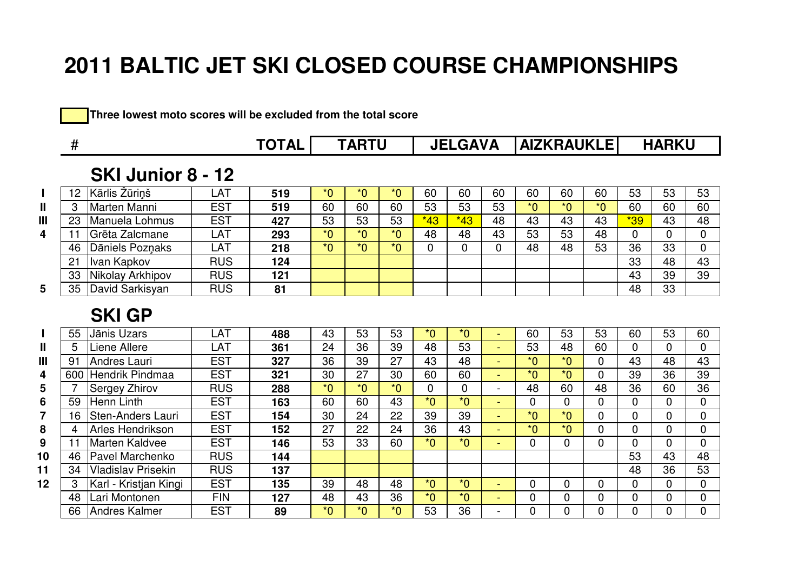|  |  |  |  |  |  | Three lowest moto scores will be excluded from the total score |  |  |  |  |
|--|--|--|--|--|--|----------------------------------------------------------------|--|--|--|--|
|--|--|--|--|--|--|----------------------------------------------------------------|--|--|--|--|

|                | #   |                           | <b>TOTAL</b> | <b>TARTU</b> |                |                  |      | <b>JELGAVA</b>   |                  |                |         | <b>AIZKRAUKLEI</b> | <b>HARKU</b>   |                |              |                |
|----------------|-----|---------------------------|--------------|--------------|----------------|------------------|------|------------------|------------------|----------------|---------|--------------------|----------------|----------------|--------------|----------------|
|                |     | SKI Junior 8 - 12         |              |              |                |                  |      |                  |                  |                |         |                    |                |                |              |                |
|                | 12  | Kārlis Žūriņš             | LAT          | 519          | $*0$           | $*0$             | $*0$ | 60               | 60               | 60             | 60      | 60                 | 60             | 53             | 53           | 53             |
| $\mathbf{I}$   | 3   | Marten Manni              | <b>EST</b>   | 519          | 60             | 60               | 60   | 53               | 53               | 53             | $*_{0}$ | $*_{0}$            | $*0$           | 60             | 60           | 60             |
| $\mathbf{III}$ | 23  | Manuela Lohmus            | <b>EST</b>   | 427          | 53             | 53               | 53   | $*43$            | $*43$            | 48             | 43      | 43                 | 43             | $*39$          | 43           | 48             |
| 4              | 11  | Grēta Zalcmane            | LAT          | 293          | $*0$           | $*0$             | $*0$ | 48               | 48               | 43             | 53      | 53                 | 48             | 0              | 0            | 0              |
|                | 46  | Dāniels Pozņaks           | LAT          | 218          | $\overline{0}$ | $\overline{0^*}$ | $*0$ | 0                | 0                | $\overline{0}$ | 48      | 48                 | 53             | 36             | 33           | 0              |
|                | 21  | Ivan Kapkov               | <b>RUS</b>   | 124          |                |                  |      |                  |                  |                |         |                    |                | 33             | 48           | 43             |
|                | 33  | Nikolay Arkhipov          | <b>RUS</b>   | 121          |                |                  |      |                  |                  |                |         |                    |                | 43             | 39           | 39             |
| 5              | 35  | David Sarkisyan           | <b>RUS</b>   | 81           |                |                  |      |                  |                  |                |         |                    |                | 48             | 33           |                |
|                |     | <b>SKI GP</b>             |              |              |                |                  |      |                  |                  |                |         |                    |                |                |              |                |
|                | 55  | Jānis Uzars               | LAT          | 488          | 43             | 53               | 53   | $*0$             | $\overline{0^*}$ | ÷              | 60      | 53                 | 53             | 60             | 53           | 60             |
| $\mathbf{I}$   | 5   | Liene Allere              | LAT          | 361          | 24             | 36               | 39   | 48               | 53               |                | 53      | 48                 | 60             | $\mathbf{0}$   | $\Omega$     | 0              |
| $\mathbf{III}$ | 91  | Andres Lauri              | <b>EST</b>   | 327          | 36             | 39               | 27   | 43               | 48               |                | $*0$    | $*_{0}$            | $\overline{0}$ | 43             | 48           | 43             |
| 4              | 600 | Hendrik Pindmaa           | <b>EST</b>   | 321          | 30             | 27               | 30   | 60               | 60               | ÷              | $*0$    | $*$ <sup>0</sup>   | $\mathbf{0}$   | 39             | 36           | 39             |
| 5              |     | Sergey Zhirov             | <b>RUS</b>   | 288          | $*0$           | $*0$             | $*0$ | 0                | $\Omega$         | $\blacksquare$ | 48      | 60                 | 48             | 36             | 60           | 36             |
| 6              | 59  | <b>Henn Linth</b>         | <b>EST</b>   | 163          | 60             | 60               | 43   | $\overline{0^*}$ | $*0$             | ٠              | 0       | $\overline{0}$     | $\overline{0}$ | $\mathbf 0$    | 0            | $\mathbf 0$    |
| 7              | 16  | <b>Sten-Anders Lauri</b>  | <b>EST</b>   | 154          | 30             | 24               | 22   | 39               | 39               | ÷              | $*0$    | $*$ <sup>0</sup>   | $\Omega$       | $\Omega$       | $\Omega$     | $\mathbf 0$    |
| 8              | 4   | Arles Hendrikson          | <b>EST</b>   | 152          | 27             | 22               | 24   | 36               | 43               | $\sim$         | $*_{0}$ | $*0$               | $\mathbf{0}$   | 0              | $\Omega$     | $\overline{0}$ |
| 9              | 11  | Marten Kaldvee            | <b>EST</b>   | 146          | 53             | 33               | 60   | $\overline{0^*}$ | $\overline{0^*}$ |                | 0       | $\Omega$           | $\overline{0}$ | $\overline{0}$ | $\mathbf{0}$ | $\mathbf 0$    |
| 10             | 46  | Pavel Marchenko           | <b>RUS</b>   | 144          |                |                  |      |                  |                  |                |         |                    |                | 53             | 43           | 48             |
| 11             | 34  | <b>Vladislav Prisekin</b> | <b>RUS</b>   | 137          |                |                  |      |                  |                  |                |         |                    |                | 48             | 36           | 53             |
| 12             | 3   | Karl - Kristjan Kingi     | <b>EST</b>   | 135          | 39             | 48               | 48   | $*0$             | $*_{0}$          | ÷              | 0       | $\Omega$           | $\Omega$       | $\overline{0}$ | $\mathbf{0}$ | 0              |
|                | 48  | Lari Montonen             | <b>FIN</b>   | 127          | 48             | 43               | 36   | $*0$             | $*_{0}$          | $\sim$         | 0       | $\mathbf 0$        | $\mathbf 0$    | 0              | 0            | 0              |
|                | 66  | <b>Andres Kalmer</b>      | <b>EST</b>   | 89           | $*0$           | $*_{0}$          | $*0$ | 53               | 36               |                | 0       | $\Omega$           | 0              | $\Omega$       | $\Omega$     | $\Omega$       |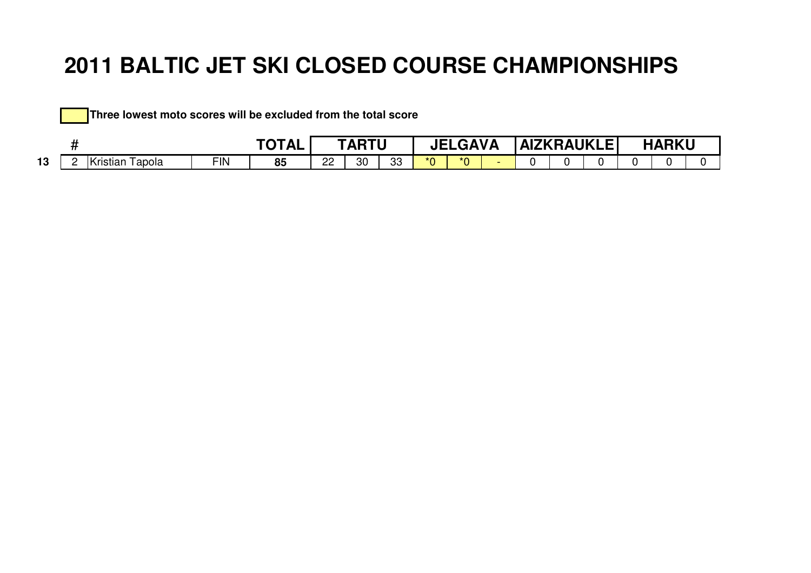|    |  | Three lowest moto scores will be excluded from the total score |            |              |    |              |    |            |                |  |                     |              |  |
|----|--|----------------------------------------------------------------|------------|--------------|----|--------------|----|------------|----------------|--|---------------------|--------------|--|
|    |  |                                                                |            | <b>TOTAL</b> |    | <b>TARTU</b> |    |            | <b>JELGAVA</b> |  | <b>LAIZKRAUKLEL</b> | <b>HARKU</b> |  |
| 13 |  | Kristian Tapola                                                | <b>FIN</b> | 85           | 22 | 30           | 33 | $*$ $\cap$ | $*_{0}$        |  |                     |              |  |